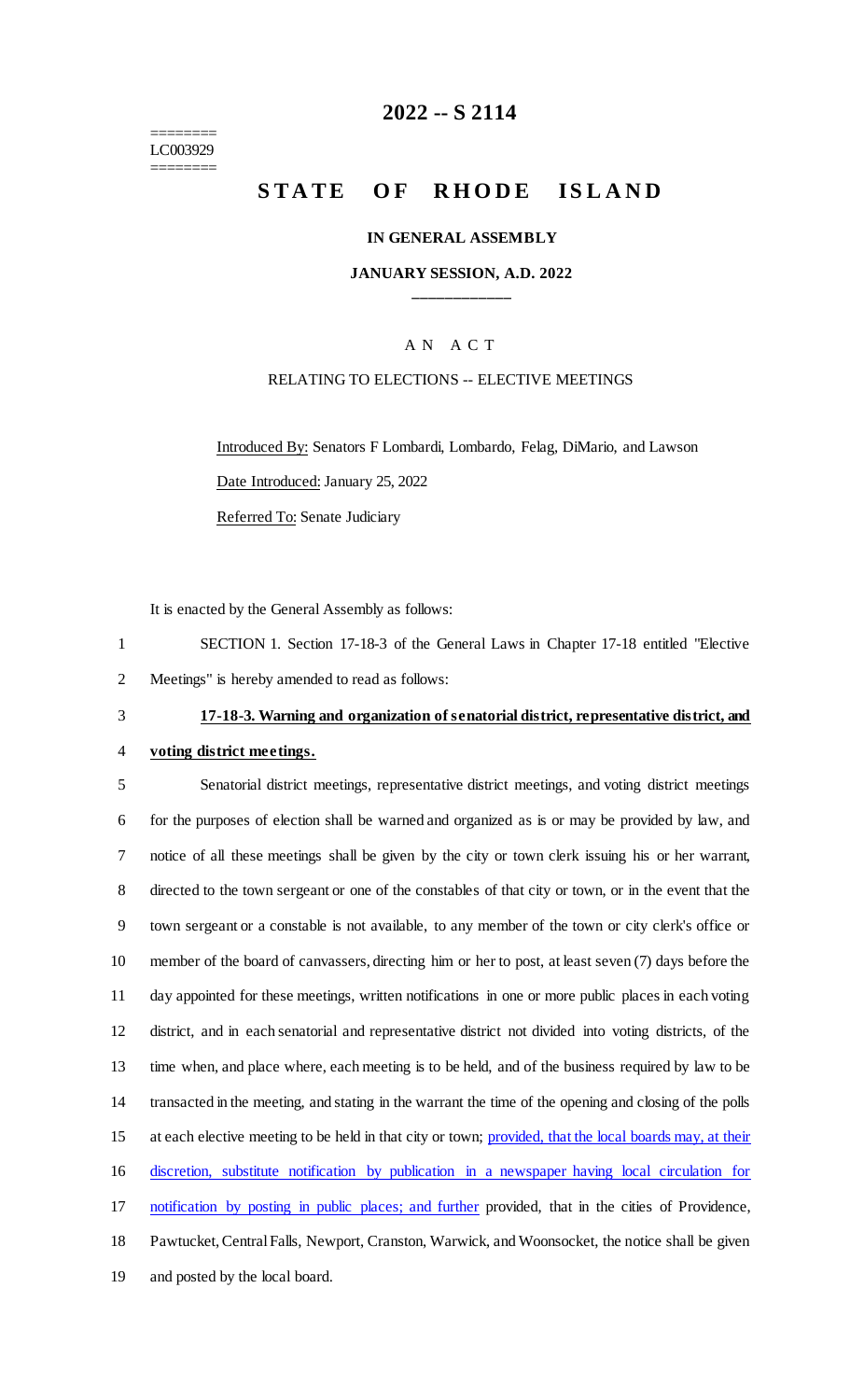======== LC003929 ========

# **2022 -- S 2114**

# **STATE OF RHODE ISLAND**

#### **IN GENERAL ASSEMBLY**

#### **JANUARY SESSION, A.D. 2022 \_\_\_\_\_\_\_\_\_\_\_\_**

#### A N A C T

#### RELATING TO ELECTIONS -- ELECTIVE MEETINGS

Introduced By: Senators F Lombardi, Lombardo, Felag, DiMario, and Lawson Date Introduced: January 25, 2022 Referred To: Senate Judiciary

It is enacted by the General Assembly as follows:

1 SECTION 1. Section 17-18-3 of the General Laws in Chapter 17-18 entitled "Elective 2 Meetings" is hereby amended to read as follows:

# 3 **17-18-3. Warning and organization of senatorial district, representative district, and**

4 **voting district meetings.**

 Senatorial district meetings, representative district meetings, and voting district meetings for the purposes of election shall be warned and organized as is or may be provided by law, and notice of all these meetings shall be given by the city or town clerk issuing his or her warrant, directed to the town sergeant or one of the constables of that city or town, or in the event that the town sergeant or a constable is not available, to any member of the town or city clerk's office or member of the board of canvassers, directing him or her to post, at least seven (7) days before the day appointed for these meetings, written notifications in one or more public places in each voting district, and in each senatorial and representative district not divided into voting districts, of the time when, and place where, each meeting is to be held, and of the business required by law to be transacted in the meeting, and stating in the warrant the time of the opening and closing of the polls 15 at each elective meeting to be held in that city or town; provided, that the local boards may, at their discretion, substitute notification by publication in a newspaper having local circulation for 17 notification by posting in public places; and further provided, that in the cities of Providence, Pawtucket, Central Falls, Newport, Cranston, Warwick, and Woonsocket, the notice shall be given and posted by the local board.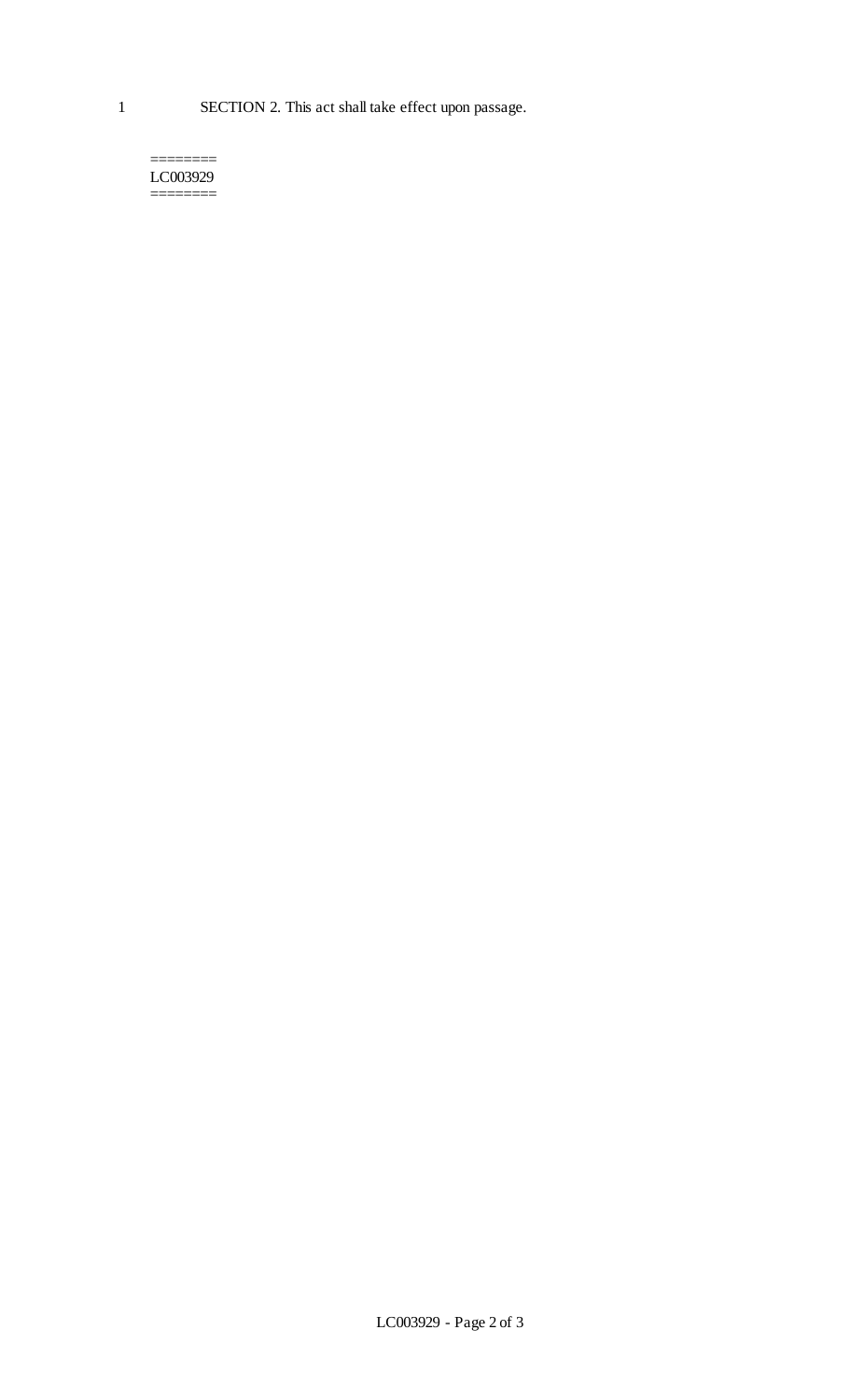======== LC003929 ========